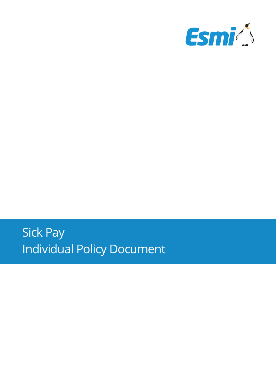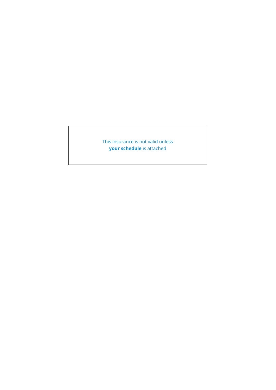This insurance is not valid unless **your schedule** is attached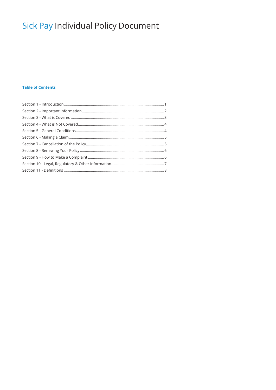# **Table of Contents**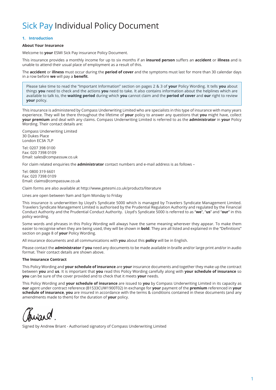# **1. Introduction**

# **About Your Insurance**

Welcome to **your** ESMI Sick Pay insurance Policy Document.

This insurance provides a monthly income for up to six months if an **insured person** suffers an **accident** or **illness** and is unable to attend their usual place of employment as a result of this.

The **accident** or **illness** must occur during the **period of cover** and the symptoms must last for more than 30 calendar days in a row before **we** will pay a **benefit**.

Please take time to read the "Important Information" section on pages 2 & 3 of **your** Policy Wording. It tells **you** about things **you** need to check and the actions **you** need to take. It also contains information about the helplines which are available to talk to, the **waiting period** during which **you** cannot claim and the **period of cover** and **our** right to review **your** policy.

This insurance is administered by Compass Underwriting Limited who are specialists in this type of insurance with many years experience. They will be there throughout the lifetime of **your** policy to answer any questions that **you** might have, collect **your premium** and deal with any claims. Compass Underwriting Limited is referred to as the **administrator** in **your** Policy Wording. Their contact details are:

Compass Underwriting Limited 30 Dukes Place London EC3A 7LP

Tel: 0207 398 0100 Fax: 020 7398 0109 Email: sales@compassuw.co.uk

For claim related enquiries the **administrator** contact numbers and e-mail address is as follows –

Tel: 0800 319 6601 Fax: 020 7398 0109 Email: claims@compassuw.co.uk

Claim forms are also available at http://www.getesmi.co.uk/products/literature

Lines are open between 9am and 5pm Monday to Friday

This insurance is underwritten by Lloyd's Syndicate 5000 which is managed by Travelers Syndicate Management Limited. Travelers Syndicate Management Limited is authorised by the Prudential Regulation Authority and regulated by the Financial Conduct Authority and the Prudential Conduct Authority. Lloyd's Syndicate 5000 is referred to as "**we**", "**us**" and "**our**" in this policy wording.

Some words and phrases in this Policy Wording will always have the same meaning wherever they appear. To make them easier to recognise when they are being used, they will be shown in **bold**. They are all listed and explained in the "Definitions" section on page 8 of **your** Policy Wording.

All insurance documents and all communications with **you** about this **policy** will be in English.

Please contact the **administrator** if **you** need any documents to be made available in braille and/or large print and/or in audio format. Their contact details are shown above.

#### **The Insurance Contract**

This Policy Wording and **your schedule of insurance** are **your** insurance documents and together they make up the contract between **you** and **us**. It is important that **you** read this Policy Wording carefully along with **your schedule of insurance** so **you** can be sure of the cover provided and to check that it meets **your** needs.

This Policy Wording and **your schedule of insurance** are issued to **you** by Compass Underwriting Limited in its capacity as **our** agent under contract reference (B1533CUW1900T02) In exchange for **your** payment of the **premium** referenced in **your schedule of insurance**, **you** are insured in accordance with the terms & conditions contained in these documents (and any amendments made to them) for the duration of **your** policy.

Signed by Andrew Briant - Authorised signatory of Compass Underwriting Limited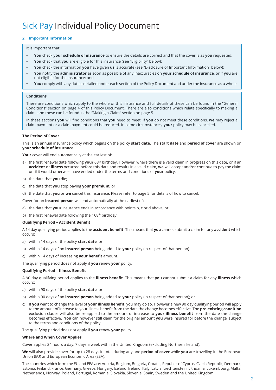# **2. Important Information**

It is important that:

- **• You** check **your schedule of insurance** to ensure the details are correct and that the cover is as **you** requested;
- **• You** check that **you** are eligible for this insurance (see "Eligibility" below);
- **• You** check the information **you** have given **us** is accurate (see "Disclosure of Important Information" below);
- **• You** notify the **administrator** as soon as possible of any inaccuracies on **your schedule of insurance**, or if **you** are not eligible for the insurance; and
- **• You** comply with any duties detailed under each section of the Policy Document and under the insurance as a whole.

### **Conditions**

There are conditions which apply to the whole of this insurance and full details of these can be found in the "General Conditions" section on page 4 of this Policy Document. There are also conditions which relate specifically to making a claim, and these can be found in the "Making a Claim" section on page 5.

In these sections **you** will find conditions that **you** need to meet. If **you** do not meet these conditions, **we** may reject a claim payment or a claim payment could be reduced. In some circumstances, **your** policy may be cancelled.

### **The Period of Cover**

This is an annual insurance policy which begins on the policy **start date**. The **start date** and **period of cover** are shown on **your schedule of insurance**.

**Your** cover will end automatically at the earliest of:

- a) the first renewal date following **your** 68th birthday. However, where there is a valid claim in progress on this date, or if an **accident** or **illness** occurred before this date and results in a valid claim, **we** will accept and/or continue to pay the claim until it would otherwise have ended under the terms and conditions of **your** policy;
- b) the date that **you** die;
- c) the date that **you** stop paying **your premium**; or
- d) the date that **you** or **we** cancel this insurance. Please refer to page 5 for details of how to cancel.

Cover for an **insured person** will end automatically at the earliest of:

- a) the date that **your** insurance ends in accordance with points b, c or d above; or
- b) the first renewal date following their 68<sup>th</sup> birthday.

#### **Qualifying Period – Accident Benefit**

A 14 day qualifying period applies to the **accident benefit**. This means that **you** cannot submit a claim for any **accident** which occurs:

- a) within 14 days of the policy **start date**; or
- b) within 14 days of an **insured person** being added to **your** policy (in respect of that person).
- c) within 14 days of increasing **your benefit** amount.

The qualifying period does not apply if **you** renew **your** policy.

# **Qualifying Period – Illness Benefit**

A 90 day qualifying period applies to the **illness benefit**. This means that **you** cannot submit a claim for any **illness** which occurs:

- a) within 90 days of the policy **start date**; or
- b) within 90 days of an **insured person** being added to **your** policy (in respect of that person); or
- c) If **you** want to change the level of **your illness benefit**, you may do so. However a new 90 day qualifying period will apply to the amount of increase to your illness benefit from the date the change becomes effective. The **pre-existing condition**  exclusion clause will also be re-applied to the amount of increase to **your illness benefit** from the date the change becomes effective. **You** can however still claim for the original amount **you** were insured for before the change, subject to the terms and conditions of the policy.

The qualifying period does not apply if **you** renew **your** policy.

### **Where and When Cover Applies**

Cover applies 24 hours a day, 7 days a week within the United Kingdom (excluding Northern Ireland).

**We** will also provide cover for up to 28 days in total during any one **period of cover** while **you** are travelling in the European Union (EU) and European Economic Area (EEA).

The countries which form the EU and EEA are: Austria, Belgium, Bulgaria, Croatia, Republic of Cyprus, Czech Republic, Denmark, Estonia, Finland, France, Germany, Greece, Hungary, Iceland, Ireland, Italy, Latvia, Liechtenstein, Lithuania, Luxembourg, Malta, Netherlands, Norway, Poland, Portugal, Romania, Slovakia, Slovenia, Spain, Sweden and the United Kingdom.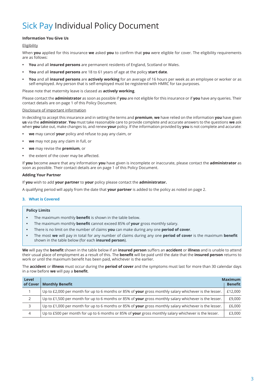# **Information You Give Us**

# Eligibility

When **you** applied for this insurance **we** asked **you** to confirm that **you** were eligible for cover. The eligibility requirements are as follows:

- **• You** and all **insured persons** are permanent residents of England, Scotland or Wales.
- **• You** and all **insured persons** are 18 to 61 years of age at the policy **start date**.
- **• You** and all **insured persons** are **actively working** for an average of 16 hours per week as an employee or worker or as self-employed. Any person that is self-employed must be registered with HMRC for tax purposes.

Please note that maternity leave is classed as **actively working**.

Please contact the **administrator** as soon as possible if **you** are not eligible for this insurance or if **you** have any queries. Their contact details are on page 1 of this Policy Document.

# Disclosure of important information

In deciding to accept this insurance and in setting the terms and **premium**, **we** have relied on the information **you** have given **us** via the **administrator**. **You** must take reasonable care to provide complete and accurate answers to the questions **we** ask when **you** take out, make changes to, and renew **your** policy. If the information provided by **you** is not complete and accurate:

- **• we** may cancel **your** policy and refuse to pay any claim, or
- **• we** may not pay any claim in full, or
- **• we** may revise the **premium**, or
- **•** the extent of the cover may be affected.

If **you** become aware that any information **you** have given is incomplete or inaccurate, please contact the **administrator** as soon as possible. Their contact details are on page 1 of this Policy Document.

# **Adding Your Partner**

If **you** wish to add **your partner** to **your** policy please contact the **administrator.**

A qualifying period will apply from the date that **your partner** is added to the policy as noted on page 2.

# **3. What is Covered**

# **Policy Limits**

- **•** The maximum monthly **benefit** is shown in the table below.
- **•** The maximum monthly **benefit** cannot exceed 85% of **your** gross monthly salary.
- **•** There is no limit on the number of claims **you** can make during any one **period of cover**.
- **•** The most **we** will pay in total for any number of claims during any one **period of cover** is the maximum **benefit** shown in the table below (for each **insured person**).

**We** will pay the **benefit** shown in the table below if an **insured person** suffers an **accident** or **illness** and is unable to attend their usual place of employment as a result of this. The **benefit** will be paid until the date that the **insured person** returns to work or until the maximum benefit has been paid, whichever is the earlier.

The **accident** or **illness** must occur during the **period of cover** and the symptoms must last for more than 30 calendar days in a row before **we** will pay a **benefit**.

| Level<br>of Cover | <b>Monthly Benefit</b>                                                                                 | <b>Maximum</b><br><b>Benefit</b> |
|-------------------|--------------------------------------------------------------------------------------------------------|----------------------------------|
|                   | Up to £2,000 per month for up to 6 months or 85% of your gross monthly salary whichever is the lesser. | £12,000                          |
| 2                 | Up to £1,500 per month for up to 6 months or 85% of your gross monthly salary whichever is the lesser. | £9,000                           |
| 3                 | Up to £1,000 per month for up to 6 months or 85% of your gross monthly salary whichever is the lesser. | £6,000                           |
| $\overline{4}$    | Up to £500 per month for up to 6 months or 85% of your gross monthly salary whichever is the lesser.   | £3,000                           |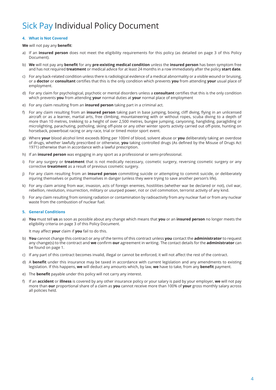# **4. What is Not Covered**

# **We** will not pay any **benefit**:

- a) If an **insured person** does not meet the eligibility requirements for this policy (as detailed on page 3 of this Policy Document).
- b) **We** will not pay any **benefit** for any **pre-existing medical condition** unless the **insured person** has been symptom free and has not required **treatment** or medical advice for at least 24 months in a row immediately after the policy **start date**.
- c) For any back-related condition unless there is radiological evidence of a medical abnormality or a visible wound or bruising, or a **doctor** or **consultant** certifies that this is the only condition which prevents **you** from attending **your** usual place of employment.
- d) For any claim for psychological, psychotic or mental disorders unless a **consultant** certifies that this is the only condition which prevents **you** from attending **your** normal duties at **your** normal place of employment
- e) For any claim resulting from an **insured person** taking part in a criminal act.
- f) For any claim resulting from an **insured person** taking part in base jumping, boxing, cliff diving, flying in an unlicensed aircraft or as a learner, martial arts, free climbing, mountaineering with or without ropes, scuba diving to a depth of more than 10 metres, trekking to a height of over 2,500 metres, bungee jumping, canyoning, hangliding, paragliding or microlighting, parachuting, potholing, skiing off-piste or any other winter sports activity carried out off-piste, hunting on horseback, powerboat racing or any race, trial or timed motor sport event.
- g) Where **your** blood alcohol limit exceeds 80mg per 100ml of blood, solvent abuse or **you** deliberately taking an overdose of drugs, whether lawfully prescribed or otherwise, **you** taking controlled drugs (As defined by the Misuse of Drugs Act 1971) otherwise than in accordance with a lawful prescription.
- h) If an **insured person** was engaging in any sport as a professional or semi-professional.
- i) For any surgery or **treatment** that is not medically necessary, cosmetic surgery, reversing cosmetic surgery or any corrective **treatment** as a result of previous cosmetic surgery.
- j) For any claim resulting from an **insured person** committing suicide or attempting to commit suicide, or deliberately injuring themselves or putting themselves in danger (unless they were trying to save another person's life).
- k) For any claim arising from war, invasion, acts of foreign enemies, hostilities (whether war be declared or not), civil war, rebellion, revolution, insurrection, military or usurped power, riot or civil commotion, terrorist activity of any kind.
- l) For any claim resulting from ionising radiation or contamination by radioactivity from any nuclear fuel or from any nuclear waste from the combustion of nuclear fuel.

# **5. General Conditions**

a) **You** must tell **us** as soon as possible about any change which means that **you** or an **insured person** no longer meets the eligibility criteria on page 3 of this Policy Document.

It may affect **your** claim if **you** fail to do this.

- b) **You** cannot change this contract or any of the terms of this contract unless **you** contact the **administrator** to request any change(s) to the contract and **we** confirm **our** agreement in writing. The contact details for the **administrator** can be found on page 1.
- c) If any part of this contract becomes invalid, illegal or cannot be enforced, it will not affect the rest of the contract.
- d) A **benefit** under this insurance may be taxed in accordance with current legislation and any amendments to existing legislation. If this happens, **we** will deduct any amounts which, by law, **we** have to take, from any **benefit** payment.
- e) The **benefit** payable under this policy will not carry any interest.
- f) If an **accident** or **illness** is covered by any other insurance policy or your salary is paid by your employer, **we** will not pay more than **our** proportional share of a claim as **you** cannot receive more than 100% of **your** gross monthly salary across all policies held.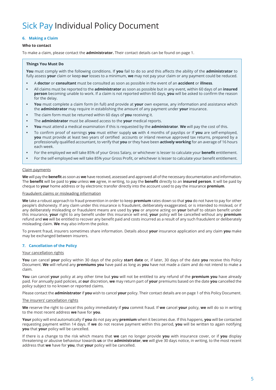# **6. Making a Claim**

### **Who to contact**

To make a claim, please contact the **administrator.** Their contact details can be found on page 1.

# **Things You Must Do**

**You** must comply with the following conditions. If **you** fail to do so and this affects the ability of the **administrator** to fully assess **your** claim or keep **our** losses to a minimum, **we** may not pay your claim or any payment could be reduced.

- **•** A **doctor** or **consultant** must be consulted as soon as possible in the event of an **accident** or **illness**.
- **•** All claims must be reported to the **administrator** as soon as possible but in any event, within 60 days of an **insured person** becoming unable to work. If a claim is not reported within 60 days, **you** will be asked to confirm the reason for the delay.
- **• You** must complete a claim form (in full) and provide at **your** own expense, any information and assistance which the **administrator** may require in establishing the amount of any payment under **your** insurance.
- **•** The claim form must be returned within 60 days of **you** receiving it.
- **•** The **administrator** must be allowed access to the **your** medical reports.
- **• You** must attend a medical examination if this is requested by the **administrator**. **We** will pay the cost of this.
- **•** To confirm proof of earnings **you** must either supply **us** with 4 months of payslips or If **you** are self-employed, **you** must provide at least two years of certified accounts or inland revenue approved tax returns, prepared by a professionally qualified accountant, to verify that **you** or they have been **actively working** for an average of 16 hours each week.
- **•** For the employed we will take 85% of your Gross Salary, or whichever is lesser to calculate your **benefit** entitlement.
- **•** For the self-employed we will take 85% your Gross Profit, or whichever is lesser to calculate your benefit entitlement.

### Claim payments

**We** will pay the **benefit** as soon as **we** have received, assessed and approved all of the necessary documentation and information. The **benefit** will be paid to **you** unless **we** agree, in writing, to pay the **benefit** directly to an **insured person**. It will be paid by cheque to **your** home address or by electronic transfer directly into the account used to pay the insurance **premium**.

#### Fraudulent claims or misleading information

**We** take a robust approach to fraud prevention in order to keep **premium** rates down so that **you** do not have to pay for other people's dishonesty. If any claim under this insurance is fraudulent, deliberately exaggerated, or is intended to mislead, or if any deliberately misleading or fraudulent means are used by **you** or anyone acting on **your** behalf to obtain benefit under this insurance, **your** right to any benefit under this insurance will end, **your** policy will be cancelled without any **premium** refund and **we** will be entitled to recover any benefit paid and costs incurred as a result of any such fraudulent or deliberately misleading claim. **We** may also inform the police.

To prevent fraud, insurers sometimes share information. Details about **your** insurance application and any claim **you** make may be exchanged between insurers.

#### **7. Cancellation of the Policy**

### Your cancellation rights

**You** can cancel **your** policy within 30 days of the policy **start date** or, if later, 30 days of the date **you** receive this Policy Document. **We** will refund any **premiums you** have paid as long as **you** have not made a claim and do not intend to make a claim.

**You** can cancel **your** policy at any other time but **you** will not be entitled to any refund of the **premium you** have already paid. For annually paid policies, at **our** discretion, **we** may return part of **your** premiums based on the date **you** cancelled the policy subject to no known or reported claims.

Please contact the **administrator** if **you** wish to cancel **your** policy. Their contact details are on page 1 of this Policy Document.

#### The insurers' cancellation rights

**We** reserve the right to cancel this policy immediately if **you** commit fraud. If **we** cancel **your** policy, **we** will do so in writing to the most recent address **we** have for **you**.

**Your** policy will end automatically if **you** do not pay any **premium** when it becomes due. If this happens, **you** will be contacted requesting payment within 14 days. If **we** do not receive payment within this period, **you** will be written to again notifying **you** that **your** policy will be cancelled.

If there is a change to the risk which means that **we** can no longer provide **you** with insurance cover, or if **you** display threatening or abusive behaviour towards **us** or the **administrator**, **we** will give 30 days notice, in writing, to the most recent address that **we** have for **you**, that **your** policy will be cancelled.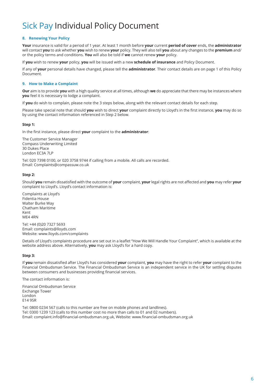# **8. Renewing Your Policy**

**Your** insurance is valid for a period of 1 year. At least 1 month before **your** current **period of cover** ends, the **administrator**  will contact **you** to ask whether **you** wish to renew **your** policy. They will also tell **you** about any changes to the **premium** and/ or the policy terms and conditions. **You** will also be told if **we** cannot renew **your** policy.

If **you** wish to renew **your** policy, **you** will be issued with a new **schedule of insurance** and Policy Document.

If any of **your** personal details have changed, please tell the **administrator**. Their contact details are on page 1 of this Policy Document.

# **9. How to Make a Complaint**

**Our** aim is to provide **you** with a high quality service at all times, although **we** do appreciate that there may be instances where **you** feel it is necessary to lodge a complaint.

If **you** do wish to complain, please note the 3 steps below, along with the relevant contact details for each step.

Please take special note that should **you** wish to direct **your** complaint directly to Lloyd's in the first instance, **you** may do so by using the contact information referenced in Step 2 below.

# **Step 1:**

In the first instance, please direct **your** complaint to the **administrator**:

The Customer Service Manager Compass Underwriting Limited 30 Dukes Place London EC3A 7LP

Tel: 020 7398 0100, or 020 3758 9744 if calling from a mobile. All calls are recorded. Email: Complaints@compassuw.co.uk

# **Step 2:**

Should **you** remain dissatisfied with the outcome of **your** complaint, **your** legal rights are not affected and **you** may refer **your** complaint to Lloyd's. Lloyd's contact information is:

Complaints at Lloyd's Fidentia House Walter Burke Way Chatham Maritime Kent ME4 4RN

Tel: +44 (0)20 7327 5693 Email: complaints@lloyds.com Website: www.lloyds.com/complaints

Details of Lloyd's complaints procedure are set out in a leaflet "How We Will Handle Your Complaint", which is available at the website address above. Alternatively, **you** may ask Lloyd's for a hard copy.

# **Step 3:**

If **you** remain dissatisfied after Lloyd's has considered **your** complaint, **you** may have the right to refer **your** complaint to the Financial Ombudsman Service. The Financial Ombudsman Service is an independent service in the UK for settling disputes between consumers and businesses providing financial services.

The contact information is:

Financial Ombudsman Service Exchange Tower London E14 9SR

Tel: 0800 0234 567 (calls to this number are free on mobile phones and landlines). Tel: 0300 1239 123 (calls to this number cost no more than calls to 01 and 02 numbers). Email: complaint.info@financial-ombudsman.org.uk, Website: www.financial-ombudsman.org.uk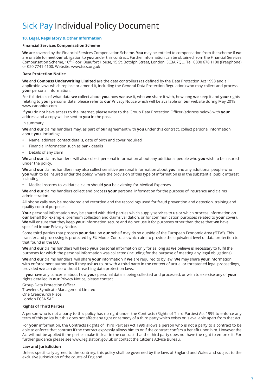# **10. Legal, Regulatory & Other Information**

# **Financial Services Compensation Scheme**

**We** are covered by the Financial Services Compensation Scheme. **You** may be entitled to compensation from the scheme if **we**  are unable to meet **our** obligation to **you** under this contract. Further information can be obtained from the Financial Services Compensation Scheme, 10th Floor, Beaufort House, 15 St. Botolph Street, London, EC3A 7QU. Tel: 0800 678 1100 (Freephone) or 020 7741 4100. Website: www.fscs.org.uk

### **Data Protection Notice**

**We** and **Compass Underwriting Limited** are the data controllers (as defined by the Data Protection Act 1998 and all applicable laws which replace or amend it, including the General Data Protection Regulation) who may collect and process **your** personal information.

For full details of what data **we** collect about **you**, how **we** use it, who **we** share it with, how long **we** keep it and **your** rights relating to **your** personal data, please refer to **our** Privacy Notice which will be available on **our** website during May 2018 www.canopius.com

If **you** do not have access to the Internet, please write to the Group Data Protection Officer (address below) with **your** address and a copy will be sent to **you** in the post.

In summary:

**We** and **our** claims handlers may, as part of **our** agreement with **you** under this contract**,** collect personal information about **you**, including:

- **•** Name, address, contact details, date of birth and cover required
- **•** Financial information such as bank details
- **•** Details of any claim

**We** and **our** claims handers will also collect personal information about any additional people who **you** wish to be insured under the policy.

**We** and **our** claims handlers may also collect sensitive personal information about **you**, and any additional people who **you** wish to be insured under the policy, where the provision of this type of information is in the substantial public interest, including:

**•** Medical records to validate a claim should **you** be claiming for Medical Expenses.

**We** and **our** claims handlers collect and process **your** personal information for the purpose of insurance and claims administration.

All phone calls may be monitored and recorded and the recordings used for fraud prevention and detection, training and quality control purposes.

**Your** personal information may be shared with third parties which supply services to **us** or which process information on **our** behalf (for example, premium collection and claims validation, or for communication purposes related to **your** cover). **We** will ensure that they keep **your** information secure and do not use it for purposes other than those that **we** have specified in **our** Privacy Notice.

Some third parties that process **your** data on **our** behalf may do so outside of the European Economic Area ("EEA"). This transfer and processing is protected by EU Model Contracts which aim to provide the equivalent level of data protection to that found in the EU.

**We** and **our** claims handlers will keep **your** personal information only for as long as **we** believe is necessary to fulfil the purposes for which the personal information was collected (including for the purpose of meeting any legal obligations).

**We** and **our** claims handlers will share **your** information if **we** are required to by law. **We** may share **your** information with enforcement authorities if they ask **us** to, or with a third party in the context of actual or threatened legal proceedings, provided **we** can do so without breaching data protection laws.

If **you** have any concerns about how **your** personal data is being collected and processed, or wish to exercise any of **your** rights detailed in **our** Privacy Notice, please contact

Group Data Protection Officer Travelers Syndicate Management Limited One Creechurch Place, London EC3A 5AF

# **Rights of Third Parties**

A person who is not a party to this policy has no right under the Contracts (Rights of Third Parties) Act 1999 to enforce any term of this policy but this does not affect any right or remedy of a third party which exists or is available apart from that Act.

For **your** information, the Contracts (Rights of Third Parties) Act 1999 allows a person who is not a party to a contract to be able to enforce that contract if the contract expressly allows him to or if the contract confers a benefit upon him. However the Act will not be applied if the parties make it clear in the contract that the third party does not have the right to enforce it. For further guidance please see www.legislation.gov.uk or contact the Citizens Advice Bureau.

# **Law and Jurisdiction**

Unless specifically agreed to the contrary, this policy shall be governed by the laws of England and Wales and subject to the exclusive jurisdiction of the courts of England.